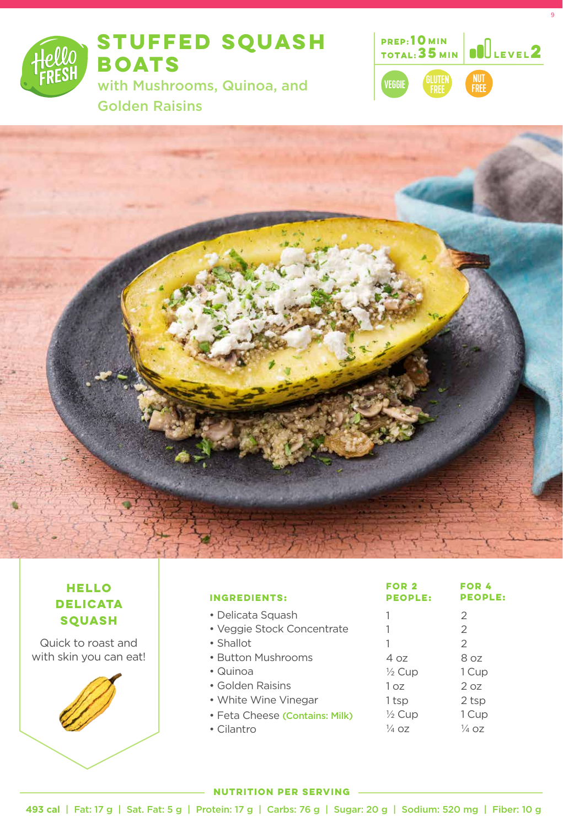

**STUFFED SQUASH BOATS** 

with Mushrooms, Quinoa, and Golden Raisins



9



### **HELLO DELICATA SQUASH**

Quick to roast and with skin you can eat!



| <b>INGREDIENTS:</b>            | <b>PEOPLE:</b>    | <b>PEOPLE:</b> |
|--------------------------------|-------------------|----------------|
| • Delicata Squash              |                   | 2              |
| · Veggie Stock Concentrate     |                   | $\mathcal{P}$  |
| • Shallot                      | 1                 | $\mathcal{P}$  |
| • Button Mushrooms             | 4 oz              | 8 oz           |
| • Quinoa                       | $\frac{1}{2}$ Cup | 1 Cup          |
| • Golden Raisins               | 1 oz              | 2 oz           |
| • White Wine Vinegar           | 1 tsp             | 2 tsp          |
| • Feta Cheese (Contains: Milk) | $\frac{1}{2}$ Cup | 1 Cup          |
| • Cilantro                     | $\frac{1}{4}$ oz  | 1⁄4 OZ         |
|                                |                   |                |

**FOR 2**

**FOR 4**

#### **NUTRITION PER SERVING**